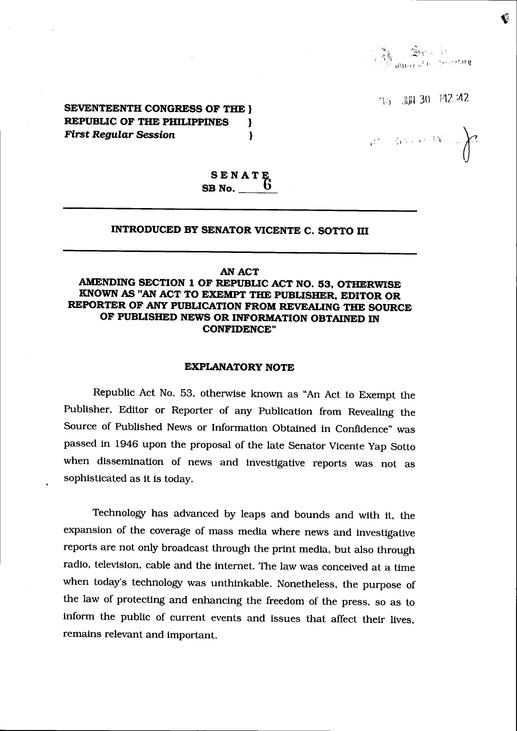Brackt ;"l (tlli'tr n'

Ø

'16 JUN 30 F12 :42

SEVENTEENTH CONGRESS OF THE } REPUBLIC OF THE PHILIPPINES  $\rightarrow$ First Regular Session }

 $\label{eq:R1} \mathcal{R}^{\prime} = \mathcal{W}^{1/4} \mathcal{W}^{1/4} \mathcal{W}^{1/4} \mathcal{W}^{1/4}$ 

 $\begin{array}{c} \textbf{S} \textbf{E} \textbf{N} \textbf{A} \textbf{T} \textbf{E} \\ \textbf{S} \textbf{B} \textbf{N} \textbf{o}. \underline{\hspace{1cm}} \textbf{0} \end{array}$ 

## INTRODUCED BY SENATOR VICENTE C. SOTTO III

#### AN ACT

## AMENDING SECTION 1 OF REPUBLIC ACT NO. 53, OTHERWISE KNOWN AS "AN ACT TO EXEMPT THE PUBLISHER, EDITOR OR REPORTER OF ANY PUBLICATION FROM REVEALING THE SOURCE OF PUBLISHED NEWS OR INFORMATION OBTAINED IN CONFIDENCE"

### EXPLANATORY NOTE

Republic Act No. 53, otherwise known as "An Act to Exempt the Publisher, Editor or Reporter of any Publication from Revealing the Source of Published News or Information Obtained in Confidence" was passed in 1946 upon the proposal of the late Senator Vicente Yap Sotto when dissemination of news and investigative reports was not as sophisticated as it is today.

Technology has advanced by leaps and bounds and with it, the expansion of the coverage of mass media where news and investigative reports are not only broadcast through the print media, but also through radio, television, cable and the internet. The law was conceived at a time when today's technology was unthinkable. Nonetheless, the purpose of the law of protecting and enhancing the freedom of the press, so as to inform the public of current events and issues that affect their lives, remains relevant and important.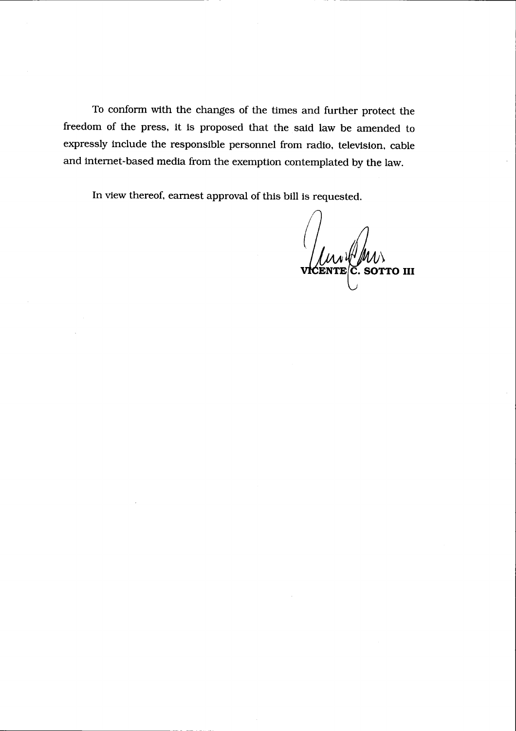To conform with the changes of the times and further protect the freedom of the press, it is proposed that the said law be amended to expressly include the responsible personnel from radio, television, cable and internet-based media from the exemption contemplated by the law.

In view thereof, earnest approval of this bill is requested.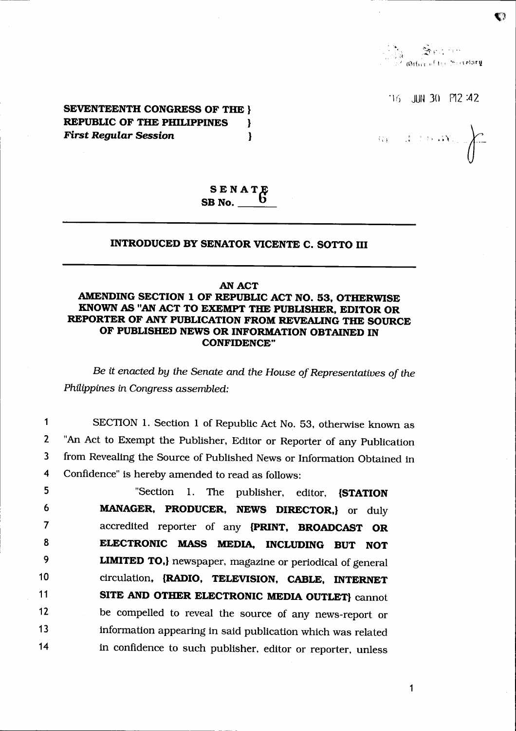**SEATH** 

 $\bullet$ 

 $16$  JUN 30 P12:42

 $\alpha = 3.286480$ 

**SEVENTEENTH CONGRESS OF THE } REPUBLIC OF THE PHILIPPINES** ł **First Regular Session**  $\mathbf{I}$ 

# $SENATE$ <br>SB No.  $0$

## INTRODUCED BY SENATOR VICENTE C. SOTTO III

### **AN ACT**

## AMENDING SECTION 1 OF REPUBLIC ACT NO. 53, OTHERWISE KNOWN AS "AN ACT TO EXEMPT THE PUBLISHER, EDITOR OR REPORTER OF ANY PUBLICATION FROM REVEALING THE SOURCE OF PUBLISHED NEWS OR INFORMATION OBTAINED IN **CONFIDENCE"**

Be it enacted by the Senate and the House of Representatives of the Philippines in Congress assembled:

SECTION 1. Section 1 of Republic Act No. 53, otherwise known as  $\mathbf{1}$  $\overline{2}$ "An Act to Exempt the Publisher, Editor or Reporter of any Publication  $\overline{\mathbf{3}}$ from Revealing the Source of Published News or Information Obtained in Confidence" is hereby amended to read as follows: 4

5 "Section 1. The publisher, editor, **ISTATION** 6 MANAGER, PRODUCER, NEWS DIRECTOR, or duly  $\overline{7}$ accredited reporter of any {PRINT, BROADCAST OR ELECTRONIC MASS MEDIA, INCLUDING BUT NOT 8 9 **LIMITED TO,** newspaper, magazine or periodical of general  $10$ circulation, {RADIO, TELEVISION, CABLE, INTERNET  $11$ SITE AND OTHER ELECTRONIC MEDIA OUTLET} cannot be compelled to reveal the source of any news-report or  $12$ 13 information appearing in said publication which was related in confidence to such publisher, editor or reporter, unless  $14$ 

1